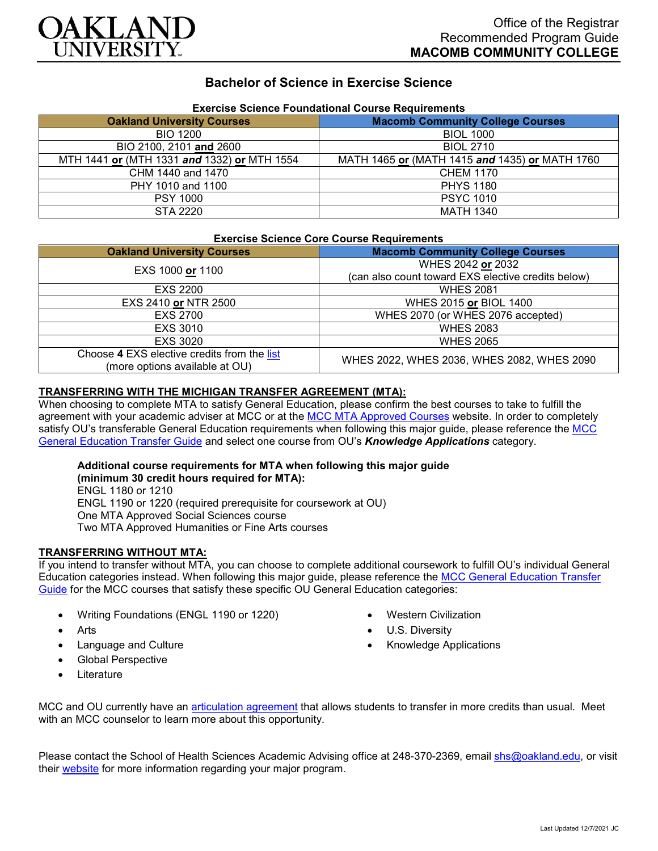

# **Bachelor of Science in Exercise Science**

| Exercise Science Foundational Course Requirements |                                                |
|---------------------------------------------------|------------------------------------------------|
| <b>Oakland University Courses</b>                 | <b>Macomb Community College Courses</b>        |
| <b>BIO 1200</b>                                   | <b>BIOL 1000</b>                               |
| BIO 2100, 2101 and 2600                           | <b>BIOL 2710</b>                               |
| MTH 1441 or (MTH 1331 and 1332) or MTH 1554       | MATH 1465 or (MATH 1415 and 1435) or MATH 1760 |
| CHM 1440 and 1470                                 | <b>CHEM 1170</b>                               |
| PHY 1010 and 1100                                 | <b>PHYS 1180</b>                               |
| <b>PSY 1000</b>                                   | <b>PSYC 1010</b>                               |
| STA 2220                                          | <b>MATH 1340</b>                               |

# **Exercise Science Foundational Course Requirements**

#### **Exercise Science Core Course Requirements**

| $-$                                                                           |                                                    |
|-------------------------------------------------------------------------------|----------------------------------------------------|
| <b>Oakland University Courses</b>                                             | <b>Macomb Community College Courses</b>            |
| EXS 1000 or 1100                                                              | WHES 2042 or 2032                                  |
|                                                                               | (can also count toward EXS elective credits below) |
| EXS 2200                                                                      | <b>WHES 2081</b>                                   |
| EXS 2410 or NTR 2500                                                          | WHES 2015 or BIOL 1400                             |
| <b>EXS 2700</b>                                                               | WHES 2070 (or WHES 2076 accepted)                  |
| EXS 3010                                                                      | <b>WHES 2083</b>                                   |
| EXS 3020                                                                      | <b>WHES 2065</b>                                   |
| Choose 4 EXS elective credits from the list<br>(more options available at OU) | WHES 2022, WHES 2036, WHES 2082, WHES 2090         |

### **TRANSFERRING WITH THE MICHIGAN TRANSFER AGREEMENT (MTA):**

When choosing to complete MTA to satisfy General Education, please confirm the best courses to take to fulfill the agreement with your academic adviser at MCC or at the [MCC MTA Approved Courses](https://www.macomb.edu/resources/transfer-articulation/attachments/mta-macrao-course-list.pdf) website. In order to completely satisfy OU's transferable General Education requirements when following this major guide, please reference the MCC [General Education Transfer Guide](https://www.oakland.edu/Assets/Oakland/program-guides/macomb-community-college/university-general-education-requirements/MCC%20Gen%20Ed.pdf) and select one course from OU's *Knowledge Applications* category.

#### **Additional course requirements for MTA when following this major guide (minimum 30 credit hours required for MTA):**

ENGL 1180 or 1210 ENGL 1190 or 1220 (required prerequisite for coursework at OU) One MTA Approved Social Sciences course Two MTA Approved Humanities or Fine Arts courses

## **TRANSFERRING WITHOUT MTA:**

If you intend to transfer without MTA, you can choose to complete additional coursework to fulfill OU's individual General Education categories instead. When following this major guide, please reference the [MCC General Education Transfer](https://www.oakland.edu/Assets/Oakland/program-guides/macomb-community-college/university-general-education-requirements/MCC%20Gen%20Ed.pdf)  [Guide](https://www.oakland.edu/Assets/Oakland/program-guides/macomb-community-college/university-general-education-requirements/MCC%20Gen%20Ed.pdf) for the MCC courses that satisfy these specific OU General Education categories:

- Writing Foundations (ENGL 1190 or 1220)
- **Arts**
- Language and Culture
- Global Perspective
- **Literature**
- Western Civilization
- U.S. Diversity
- Knowledge Applications

MCC and OU currently have an [articulation agreement](https://www.oakland.edu/Assets/Oakland/articulation-agreements/macomb-community-college/Macomb%20EXS%20AA.pdf) that allows students to transfer in more credits than usual. Meet with an MCC counselor to learn more about this opportunity.

Please contact the School of Health Sciences Academic Advising office at 248-370-2369, email [shs@oakland.edu,](mailto:shs@oakland.edu) or visit their [website](http://www.oakland.edu/shs/advising) for more information regarding your major program.